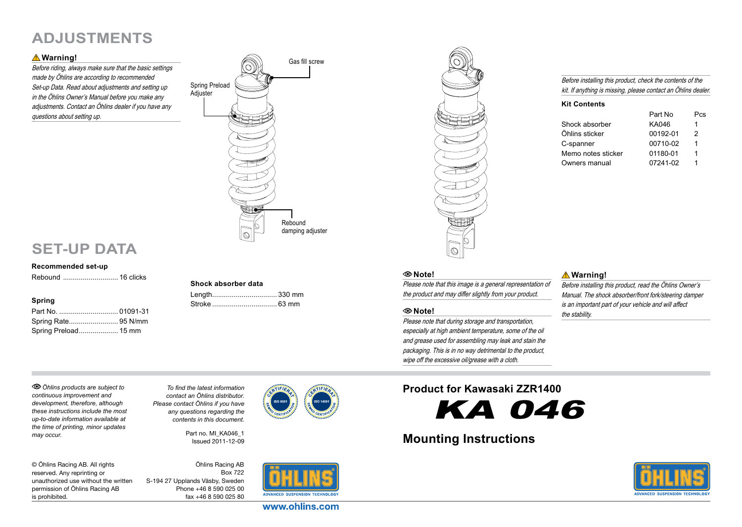## **Adjustments**

### **Warning!**

Before riding, always make sure that the basic settings made by Öhlins are according to recommended Set-up Data. Read about adjustments and setting up in the Öhlins Owner's Manual before you make any adjustments. Contact an Öhlins dealer if you have any questions about setting up.



### Before installing this product, check the contents of the kit. If anything is missing, please contact an Öhlins dealer.

#### **Kit Contents**

| Part No  | Pes |
|----------|-----|
| KA046    | 1   |
| 00192-01 | 2   |
| 00710-02 | 1   |
| 01180-01 | 1   |
| 07241-02 | 1   |
|          |     |

### **Set-up Data**

#### **Recommended set-up**

Rebound ............................ 16 clicks

### **Spring**

| Part No.  01091-31   |  |
|----------------------|--|
| Spring Rate 95 N/mm  |  |
| Spring Preload 15 mm |  |

# **Shock absorber data**

| Length 330 mm |  |
|---------------|--|
|               |  |



### **Note!**

Please note that this image is a general representation of the product and may differ slightly from your product.

### **Note!**

Please note that during storage and transportation, especially at high ambient temperature, some of the oil and grease used for assembling may leak and stain the packaging. This is in no way detrimental to the product, wipe off the excessive oil/grease with a cloth.

### **Warning!**

Before installing this product, read the Öhlins Owner's Manual. The shock absorber/front fork/steering damper is an important part of your vehicle and will affect the stability.

*Öhlins products are subject to continuous improvement and development, therefore, although these instructions include the most up-to-date information available at the time of printing, minor updates may occur.* 

*To find the latest information contact an Öhlins distributor. Please contact Öhlins if you have any questions regarding the contents in this document.*

> Part no. MI\_KA046\_1 Issued 2011-12-09

© Öhlins Racing AB. All rights reserved. Any reprinting or unauthorized use without the written permission of Öhlins Racing AB is prohibited.

Öhlins Racing AB Box 722 S-194 27 Upplands Väsby, Sweden Phone +46 8 590 025 00 fax +46 8 590 025 80



www.ohlins.com

### **Product for Kawasaki ZZR1400**

KA 046

### **Mounting Instructions**